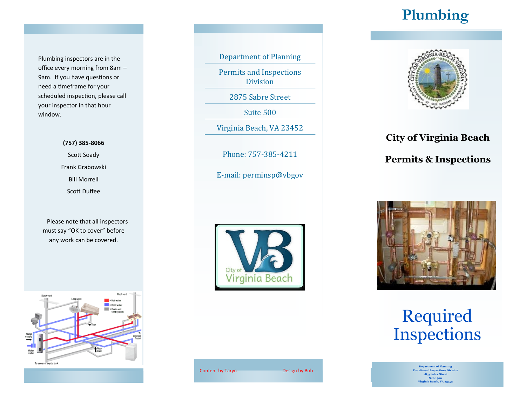## **Plumbing**

Plumbing inspectors are in the office every morning from 8am – 9am. If you have questions or need a timeframe for your scheduled inspection, please call your inspector in that hour window.

## **(757) 385-8066** Scott Soady

Frank Grabowski Bill Morrell Scott Duffee

 Please note that all inspectors must say "OK to cover" before any work can be covered.



Department of Planning

Permits and Inspections Division

2875 Sabre Street

Suite 500

Virginia Beach, VA 23452

Phone: 757-385-4211

E-mail: perminsp@vbgov



Content by Taryn Design by Bob



**City of Virginia Beach**

**Permits & Inspections**



Required Inspections

> **Department of Planning Permits and Inspections Division 2875 Sabre Street Suite 500 Virginia Beach, VA 23452**